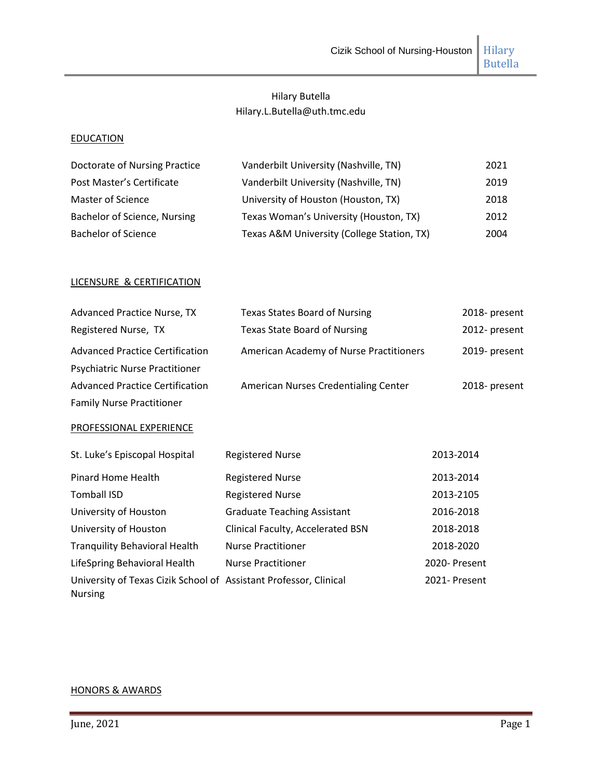Butella

# Hilary Butella Hilary.L.Butella@uth.tmc.edu

#### **EDUCATION**

| Doctorate of Nursing Practice | Vanderbilt University (Nashville, TN)      | 2021 |
|-------------------------------|--------------------------------------------|------|
| Post Master's Certificate     | Vanderbilt University (Nashville, TN)      | 2019 |
| Master of Science             | University of Houston (Houston, TX)        | 2018 |
| Bachelor of Science, Nursing  | Texas Woman's University (Houston, TX)     | 2012 |
| <b>Bachelor of Science</b>    | Texas A&M University (College Station, TX) | 2004 |

## LICENSURE & CERTIFICATION

| <b>Advanced Practice Nurse, TX</b>                                                  | <b>Texas States Board of Nursing</b>        | 2018- present |
|-------------------------------------------------------------------------------------|---------------------------------------------|---------------|
| Registered Nurse, TX                                                                | <b>Texas State Board of Nursing</b>         | 2012- present |
| <b>Advanced Practice Certification</b>                                              | American Academy of Nurse Practitioners     | 2019- present |
| Psychiatric Nurse Practitioner                                                      |                                             |               |
| <b>Advanced Practice Certification</b>                                              | <b>American Nurses Credentialing Center</b> | 2018- present |
| <b>Family Nurse Practitioner</b>                                                    |                                             |               |
| PROFESSIONAL EXPERIENCE                                                             |                                             |               |
| St. Luke's Episcopal Hospital                                                       | <b>Registered Nurse</b>                     | 2013-2014     |
| Pinard Home Health                                                                  | <b>Registered Nurse</b>                     | 2013-2014     |
| <b>Tomball ISD</b>                                                                  | <b>Registered Nurse</b>                     | 2013-2105     |
| University of Houston                                                               | <b>Graduate Teaching Assistant</b>          | 2016-2018     |
| University of Houston                                                               | Clinical Faculty, Accelerated BSN           | 2018-2018     |
| <b>Tranquility Behavioral Health</b>                                                | <b>Nurse Practitioner</b>                   | 2018-2020     |
| LifeSpring Behavioral Health                                                        | <b>Nurse Practitioner</b>                   | 2020- Present |
| University of Texas Cizik School of Assistant Professor, Clinical<br><b>Nursing</b> |                                             | 2021- Present |

# HONORS & AWARDS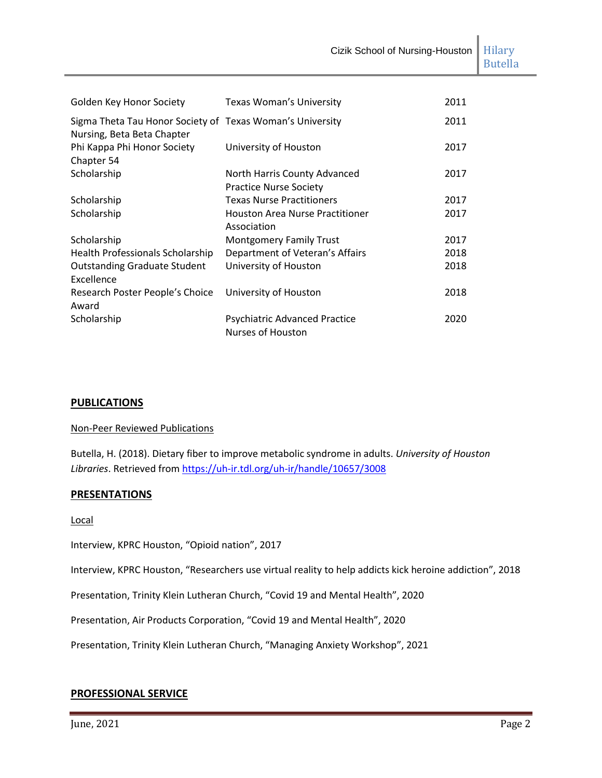| Golden Key Honor Society                                                                | Texas Woman's University               | 2011 |
|-----------------------------------------------------------------------------------------|----------------------------------------|------|
| Sigma Theta Tau Honor Society of Texas Woman's University<br>Nursing, Beta Beta Chapter |                                        | 2011 |
| Phi Kappa Phi Honor Society                                                             | University of Houston                  | 2017 |
| Chapter 54                                                                              |                                        |      |
| Scholarship                                                                             | North Harris County Advanced           | 2017 |
|                                                                                         | <b>Practice Nurse Society</b>          |      |
| Scholarship                                                                             | <b>Texas Nurse Practitioners</b>       | 2017 |
| Scholarship                                                                             | <b>Houston Area Nurse Practitioner</b> | 2017 |
|                                                                                         | Association                            |      |
| Scholarship                                                                             | <b>Montgomery Family Trust</b>         | 2017 |
| Health Professionals Scholarship                                                        | Department of Veteran's Affairs        | 2018 |
| <b>Outstanding Graduate Student</b>                                                     | University of Houston                  | 2018 |
| Excellence                                                                              |                                        |      |
| Research Poster People's Choice                                                         | University of Houston                  | 2018 |
| Award                                                                                   |                                        |      |
| Scholarship                                                                             | <b>Psychiatric Advanced Practice</b>   | 2020 |
|                                                                                         | Nurses of Houston                      |      |

#### **PUBLICATIONS**

#### Non-Peer Reviewed Publications

Butella, H. (2018). Dietary fiber to improve metabolic syndrome in adults. *University of Houston Libraries*. Retrieved from <https://uh-ir.tdl.org/uh-ir/handle/10657/3008>

#### **PRESENTATIONS**

Local

Interview, KPRC Houston, "Opioid nation", 2017

Interview, KPRC Houston, "Researchers use virtual reality to help addicts kick heroine addiction", 2018

Presentation, Trinity Klein Lutheran Church, "Covid 19 and Mental Health", 2020

Presentation, Air Products Corporation, "Covid 19 and Mental Health", 2020

Presentation, Trinity Klein Lutheran Church, "Managing Anxiety Workshop", 2021

#### **PROFESSIONAL SERVICE**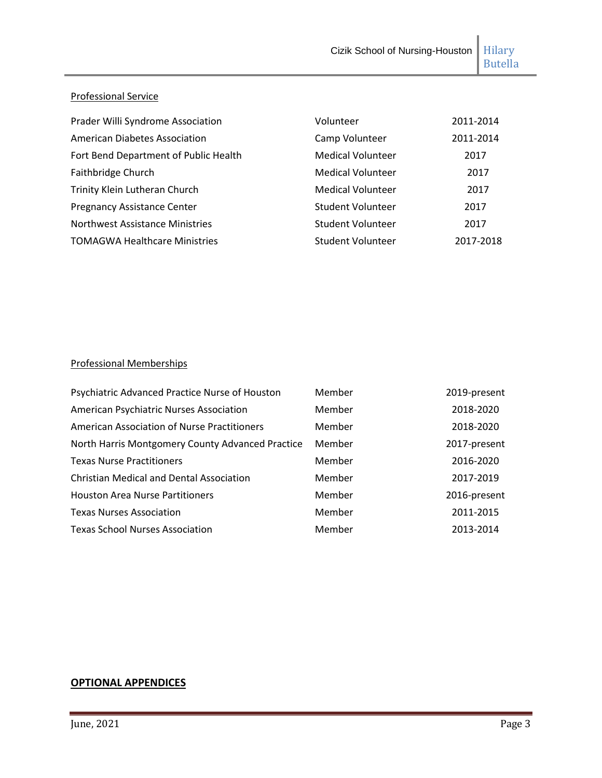## Professional Service

| Prader Willi Syndrome Association     | Volunteer                | 2011-2014 |
|---------------------------------------|--------------------------|-----------|
| <b>American Diabetes Association</b>  | Camp Volunteer           | 2011-2014 |
| Fort Bend Department of Public Health | <b>Medical Volunteer</b> | 2017      |
| Faithbridge Church                    | <b>Medical Volunteer</b> | 2017      |
| Trinity Klein Lutheran Church         | <b>Medical Volunteer</b> | 2017      |
| <b>Pregnancy Assistance Center</b>    | <b>Student Volunteer</b> | 2017      |
| Northwest Assistance Ministries       | <b>Student Volunteer</b> | 2017      |
| <b>TOMAGWA Healthcare Ministries</b>  | <b>Student Volunteer</b> | 2017-2018 |

## Professional Memberships

| Psychiatric Advanced Practice Nurse of Houston     | Member | 2019-present |
|----------------------------------------------------|--------|--------------|
| American Psychiatric Nurses Association            | Member | 2018-2020    |
| <b>American Association of Nurse Practitioners</b> | Member | 2018-2020    |
| North Harris Montgomery County Advanced Practice   | Member | 2017-present |
| <b>Texas Nurse Practitioners</b>                   | Member | 2016-2020    |
| <b>Christian Medical and Dental Association</b>    | Member | 2017-2019    |
| <b>Houston Area Nurse Partitioners</b>             | Member | 2016-present |
| <b>Texas Nurses Association</b>                    | Member | 2011-2015    |
| <b>Texas School Nurses Association</b>             | Member | 2013-2014    |

## **OPTIONAL APPENDICES**